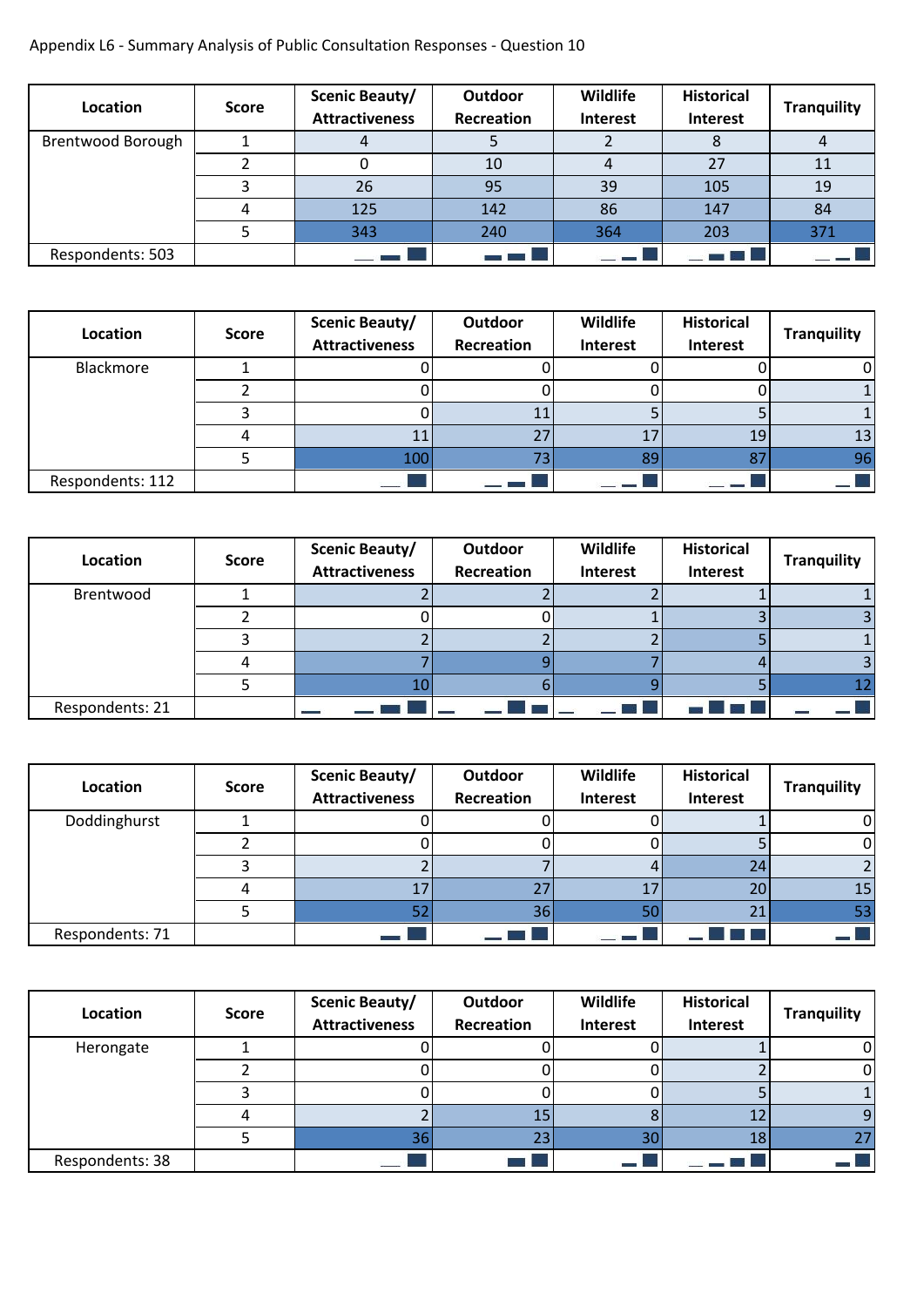## Appendix L6 - Summary Analysis of Public Consultation Responses - Question 10

| Location          | <b>Score</b> | Scenic Beauty/<br><b>Attractiveness</b> | Outdoor<br>Recreation | Wildlife<br><b>Interest</b> | <b>Historical</b><br>Interest | <b>Tranquility</b> |
|-------------------|--------------|-----------------------------------------|-----------------------|-----------------------------|-------------------------------|--------------------|
| Brentwood Borough |              |                                         |                       |                             |                               |                    |
|                   |              |                                         | 10                    |                             | 27                            |                    |
|                   |              | 26                                      | 95                    | 39                          | 105                           | 19                 |
|                   |              | 125                                     | 142                   | 86                          | 147                           | 84                 |
|                   |              | 343                                     | 240                   | 364                         | 203                           | 371                |
| Respondents: 503  |              |                                         |                       |                             |                               |                    |

| Location         | <b>Score</b> | Scenic Beauty/<br><b>Attractiveness</b> | Outdoor<br>Recreation | Wildlife<br>Interest | <b>Historical</b><br>Interest | <b>Tranquility</b> |
|------------------|--------------|-----------------------------------------|-----------------------|----------------------|-------------------------------|--------------------|
| Blackmore        |              |                                         |                       |                      |                               |                    |
|                  |              |                                         |                       |                      |                               |                    |
|                  |              |                                         | 11                    |                      |                               |                    |
|                  |              | 11                                      | 27                    |                      | 19                            | 13                 |
|                  |              | 100                                     | 73                    | 89                   | 87                            | 96                 |
| Respondents: 112 |              |                                         |                       |                      |                               |                    |

| Location        | <b>Score</b> | Scenic Beauty/<br><b>Attractiveness</b> | Outdoor<br>Recreation | Wildlife<br>Interest | <b>Historical</b><br>Interest | <b>Tranquility</b> |
|-----------------|--------------|-----------------------------------------|-----------------------|----------------------|-------------------------------|--------------------|
| Brentwood       |              |                                         |                       |                      |                               |                    |
|                 |              |                                         |                       |                      |                               |                    |
|                 |              |                                         |                       |                      |                               |                    |
|                 |              |                                         |                       |                      |                               |                    |
|                 |              | 10                                      |                       |                      |                               |                    |
| Respondents: 21 |              |                                         |                       |                      | $-4$ $-13$                    |                    |

| Location        | <b>Score</b> | Scenic Beauty/<br><b>Attractiveness</b> | Outdoor<br>Recreation | Wildlife<br>Interest | <b>Historical</b><br>Interest | <b>Tranquility</b> |
|-----------------|--------------|-----------------------------------------|-----------------------|----------------------|-------------------------------|--------------------|
| Doddinghurst    |              |                                         |                       |                      |                               |                    |
|                 |              |                                         |                       |                      |                               |                    |
|                 |              |                                         |                       |                      | 24                            |                    |
|                 |              | 17                                      | 27                    |                      | 20                            | 15                 |
|                 |              | 52                                      | 36                    | 50                   | 21                            | 53                 |
| Respondents: 71 |              |                                         |                       |                      |                               |                    |

| Location        | <b>Score</b> | Scenic Beauty/<br><b>Attractiveness</b> | Outdoor<br>Recreation | Wildlife<br>Interest | <b>Historical</b><br>Interest | <b>Tranquility</b> |
|-----------------|--------------|-----------------------------------------|-----------------------|----------------------|-------------------------------|--------------------|
| Herongate       |              |                                         |                       |                      |                               |                    |
|                 |              |                                         |                       |                      |                               |                    |
|                 |              |                                         |                       |                      |                               |                    |
|                 |              |                                         | 15                    |                      |                               |                    |
|                 |              | 36                                      | 23                    | 30                   | 18                            |                    |
| Respondents: 38 |              |                                         |                       |                      |                               |                    |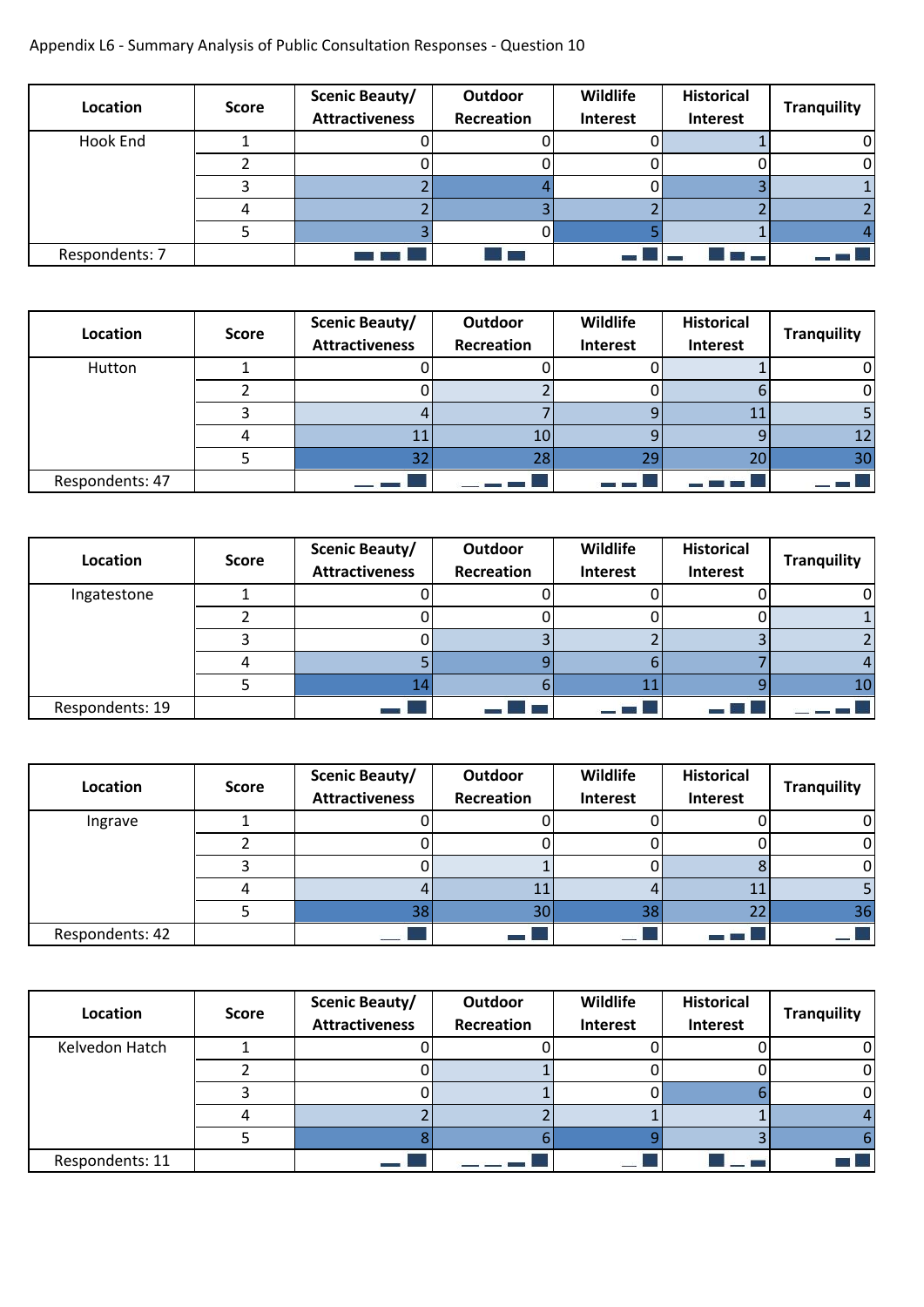## Appendix L6 - Summary Analysis of Public Consultation Responses - Question 10

| Location       | <b>Score</b> | <b>Scenic Beauty/</b><br><b>Attractiveness</b> | Outdoor<br>Recreation | Wildlife<br>Interest | <b>Historical</b><br>Interest | <b>Tranquility</b> |
|----------------|--------------|------------------------------------------------|-----------------------|----------------------|-------------------------------|--------------------|
| Hook End       |              |                                                |                       |                      |                               |                    |
|                |              |                                                |                       |                      |                               |                    |
|                |              |                                                |                       |                      |                               |                    |
|                |              |                                                |                       |                      |                               |                    |
|                |              |                                                |                       |                      |                               |                    |
| Respondents: 7 |              |                                                |                       |                      |                               | — — 1              |

| Location        | <b>Score</b> | Scenic Beauty/<br><b>Attractiveness</b> | Outdoor<br>Recreation | Wildlife<br>Interest | <b>Historical</b><br>Interest | <b>Tranquility</b> |
|-----------------|--------------|-----------------------------------------|-----------------------|----------------------|-------------------------------|--------------------|
| Hutton          |              |                                         |                       |                      |                               |                    |
|                 |              |                                         |                       |                      |                               |                    |
|                 |              |                                         |                       |                      |                               |                    |
|                 |              |                                         | 10                    |                      |                               |                    |
|                 |              | 32                                      | 28                    | Эq                   | 20                            | 30                 |
| Respondents: 47 |              |                                         |                       |                      |                               |                    |

| Location        | <b>Score</b> | <b>Scenic Beauty/</b><br><b>Attractiveness</b> | Outdoor<br>Recreation | Wildlife<br>Interest | <b>Historical</b><br>Interest | <b>Tranquility</b> |
|-----------------|--------------|------------------------------------------------|-----------------------|----------------------|-------------------------------|--------------------|
| Ingatestone     |              |                                                |                       |                      |                               |                    |
|                 |              |                                                |                       |                      |                               |                    |
|                 |              |                                                |                       |                      |                               |                    |
|                 |              |                                                |                       |                      |                               |                    |
|                 |              |                                                |                       |                      |                               | 10                 |
| Respondents: 19 |              |                                                |                       | $-1.3.$              |                               |                    |

| Location        | <b>Score</b> | Scenic Beauty/<br><b>Attractiveness</b> | Outdoor<br>Recreation | Wildlife<br>Interest | <b>Historical</b><br>Interest | <b>Tranquility</b> |
|-----------------|--------------|-----------------------------------------|-----------------------|----------------------|-------------------------------|--------------------|
| Ingrave         |              |                                         |                       |                      |                               |                    |
|                 |              |                                         |                       |                      |                               |                    |
|                 |              |                                         |                       |                      |                               |                    |
|                 |              |                                         | 11                    |                      |                               |                    |
|                 |              | 38                                      | 30                    | 38                   | 22                            | 36                 |
| Respondents: 42 |              | $\overline{\phantom{a}}$                |                       | $-125$               |                               |                    |

| Location        | <b>Score</b> | <b>Scenic Beauty/</b><br><b>Attractiveness</b> | Outdoor<br>Recreation | Wildlife<br>Interest | <b>Historical</b><br>Interest | <b>Tranquility</b> |
|-----------------|--------------|------------------------------------------------|-----------------------|----------------------|-------------------------------|--------------------|
| Kelvedon Hatch  |              |                                                |                       |                      |                               |                    |
|                 |              |                                                |                       |                      |                               |                    |
|                 |              |                                                |                       |                      |                               |                    |
|                 |              |                                                |                       |                      |                               |                    |
|                 |              |                                                |                       |                      |                               |                    |
| Respondents: 11 |              |                                                |                       | e me                 |                               | <b>COLOR</b>       |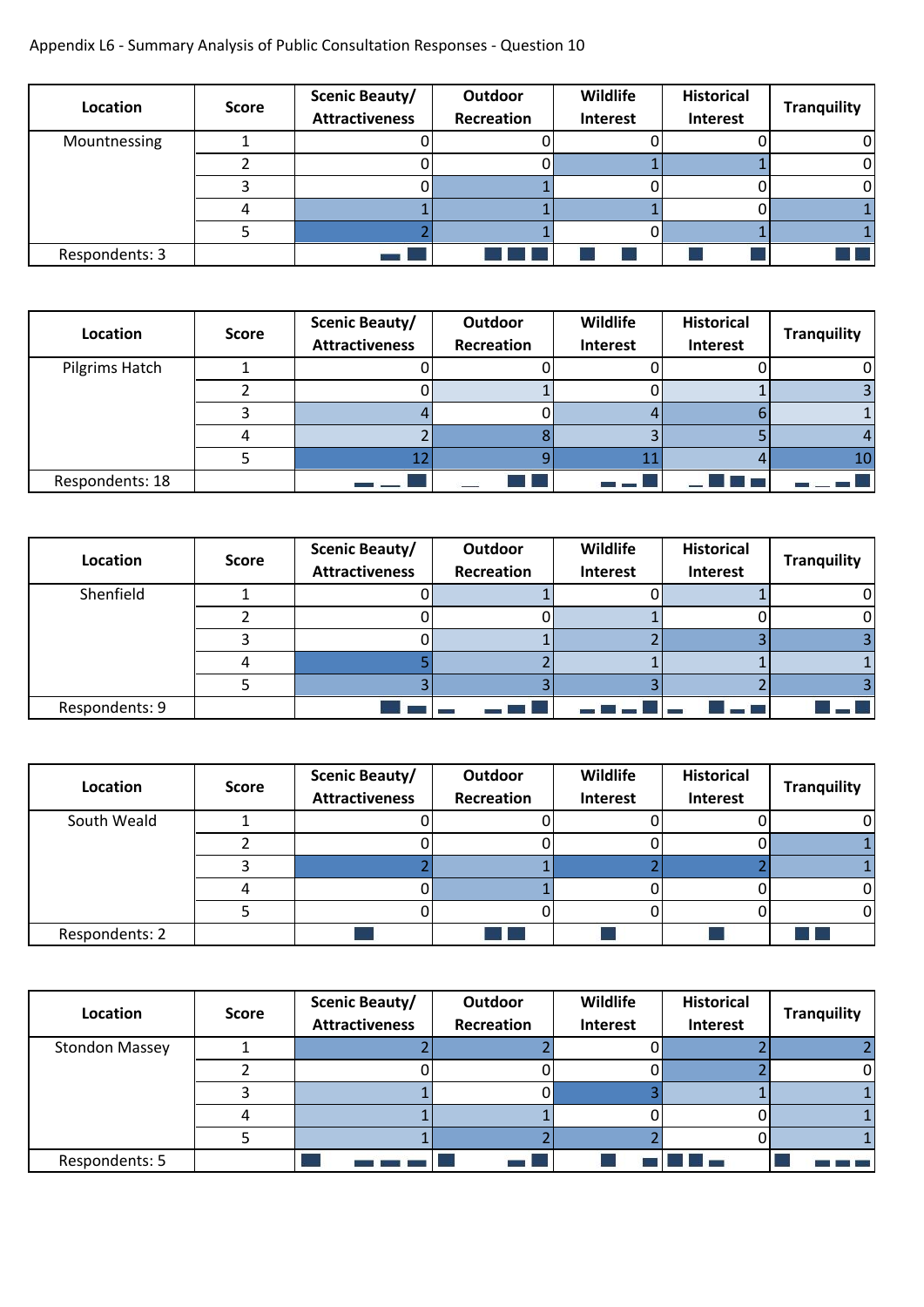## Appendix L6 - Summary Analysis of Public Consultation Responses - Question 10

| Location       | <b>Score</b> | Scenic Beauty/<br><b>Attractiveness</b> | Outdoor<br>Recreation | Wildlife<br>Interest | <b>Historical</b><br>Interest | <b>Tranquility</b> |
|----------------|--------------|-----------------------------------------|-----------------------|----------------------|-------------------------------|--------------------|
| Mountnessing   |              |                                         |                       |                      |                               |                    |
|                |              |                                         |                       |                      |                               |                    |
|                |              |                                         |                       |                      |                               |                    |
|                |              |                                         |                       |                      |                               |                    |
|                |              |                                         |                       |                      |                               |                    |
| Respondents: 3 |              |                                         |                       |                      |                               | T.                 |

| Location        | <b>Score</b> | <b>Scenic Beauty/</b><br><b>Attractiveness</b> | Outdoor<br>Recreation | Wildlife<br>Interest | <b>Historical</b><br>Interest | <b>Tranquility</b> |
|-----------------|--------------|------------------------------------------------|-----------------------|----------------------|-------------------------------|--------------------|
| Pilgrims Hatch  |              |                                                |                       |                      |                               |                    |
|                 |              |                                                |                       |                      |                               |                    |
|                 |              |                                                |                       |                      |                               |                    |
|                 |              |                                                |                       |                      |                               |                    |
|                 |              |                                                |                       |                      |                               | 10                 |
| Respondents: 18 |              |                                                |                       |                      |                               |                    |

| Location       | <b>Score</b> | Scenic Beauty/<br><b>Attractiveness</b> | Outdoor<br>Recreation | Wildlife<br>Interest | <b>Historical</b><br>Interest | <b>Tranquility</b> |
|----------------|--------------|-----------------------------------------|-----------------------|----------------------|-------------------------------|--------------------|
| Shenfield      |              |                                         |                       |                      |                               |                    |
|                |              |                                         |                       |                      |                               |                    |
|                |              |                                         |                       |                      |                               |                    |
|                |              |                                         |                       |                      |                               |                    |
|                |              |                                         |                       |                      |                               |                    |
| Respondents: 9 |              |                                         |                       |                      |                               | المستحدث           |

| Location       | <b>Score</b> | Scenic Beauty/<br><b>Attractiveness</b> | Outdoor<br>Recreation | Wildlife<br>Interest | <b>Historical</b><br>Interest | <b>Tranquility</b> |
|----------------|--------------|-----------------------------------------|-----------------------|----------------------|-------------------------------|--------------------|
| South Weald    |              |                                         |                       |                      |                               |                    |
|                |              |                                         |                       |                      |                               |                    |
|                |              |                                         |                       |                      |                               |                    |
|                |              |                                         |                       |                      |                               |                    |
|                |              |                                         |                       |                      |                               |                    |
| Respondents: 2 |              |                                         | and the               |                      |                               |                    |

| Location              | <b>Score</b> | Scenic Beauty/<br><b>Attractiveness</b> | Outdoor<br>Recreation | Wildlife<br>Interest | <b>Historical</b><br>Interest | <b>Tranquility</b> |
|-----------------------|--------------|-----------------------------------------|-----------------------|----------------------|-------------------------------|--------------------|
| <b>Stondon Massey</b> |              |                                         |                       |                      |                               |                    |
|                       |              |                                         |                       |                      |                               |                    |
|                       |              |                                         |                       |                      |                               |                    |
|                       |              |                                         |                       |                      |                               |                    |
|                       |              |                                         |                       |                      |                               |                    |
| Respondents: 5        |              |                                         |                       |                      |                               |                    |